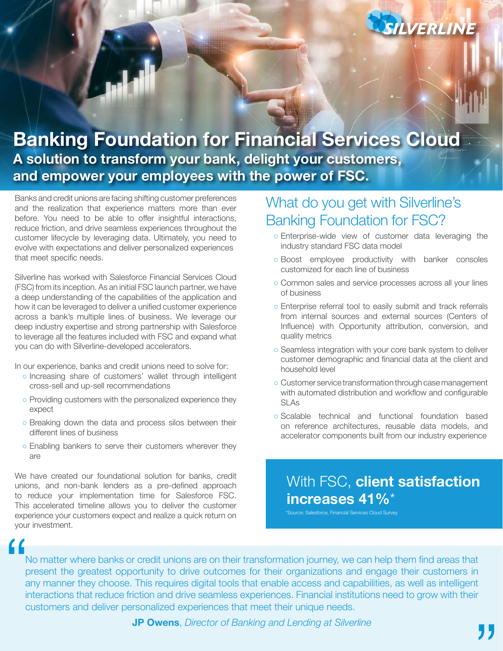

# **Banking Foundation for Financial Services Cloud A solution to transform your bank, delight your customers, and empower your employees with the power of FSC.**

Banks and credit unions are facing shifting customer preferences and the realization that experience matters more than ever before. You need to be able to offer insightful interactions, reduce friction, and drive seamless experiences throughout the customer lifecycle by leveraging data. Ultimately, you need to evolve with expectations and deliver personalized experiences that meet specific needs.

Silverline has worked with Salesforce Financial Services Cloud (FSC) from its inception. As an initial FSC launch partner, we have a deep understanding of the capabilities of the application and how it can be leveraged to deliver a unified customer experience across a bank's multiple lines of business. We leverage our deep industry expertise and strong partnership with Salesforce to leverage all the features included with FSC and expand what you can do with Silverline-developed accelerators.

In our experience, banks and credit unions need to solve for:

- Increasing share of customers' wallet through intelligent cross-sell and up-sell recommendations
- Providing customers with the personalized experience they expect
- Breaking down the data and process silos between their different lines of business
- Enabling bankers to serve their customers wherever they are

We have created our foundational solution for banks, credit unions, and non-bank lenders as a pre-defined approach to reduce your implementation time for Salesforce FSC. This accelerated timeline allows you to deliver the customer experience your customers expect and realize a quick return on your investment.

## What do you get with Silverline's Banking Foundation for FSC?

- Enterprise-wide view of customer data leveraging the industry standard FSC data model
- Boost employee productivity with banker consoles customized for each line of business
- Common sales and service processes across all your lines of business
- Enterprise referral tool to easily submit and track referrals from internal sources and external sources (Centers of Influence) with Opportunity attribution, conversion, and quality metrics
- Seamless integration with your core bank system to deliver customer demographic and financial data at the client and household level
- Customer service transformation through case management with automated distribution and workflow and configurable SLAs
- Scalable technical and functional foundation based on reference architectures, reusable data models, and accelerator components built from our industry experience

## With FSC, **client satisfaction increases 41%**\*

.<br>Source: Salesforce, Financial Services Cloud Survey

No matter where banks or credit unions are on their transformation journey, we can help them find areas that present the greatest opportunity to drive outcomes for their organizations and engage their customers in any manner they choose. This requires digital tools that enable access and capabilities, as well as intelligent interactions that reduce friction and drive seamless experiences. Financial institutions need to grow with their customers and deliver personalized experiences that meet their unique needs. **"**<br>"

**JP Owens**, *Director of Banking and Lending at Silverline*